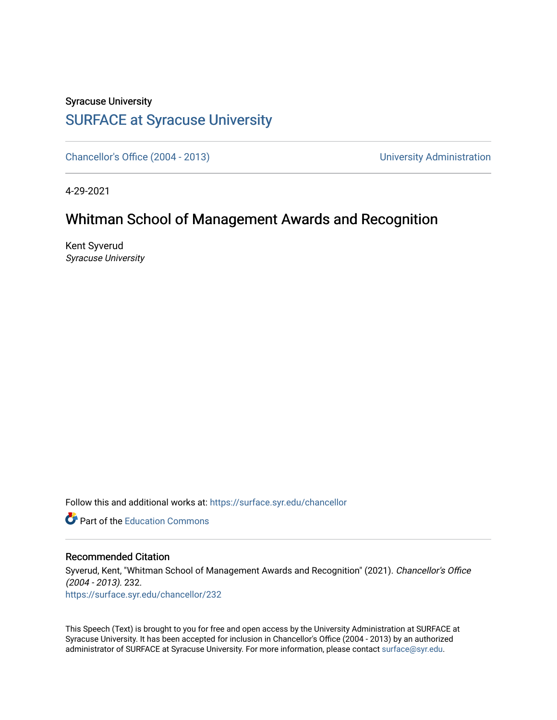## Syracuse University [SURFACE at Syracuse University](https://surface.syr.edu/)

[Chancellor's Office \(2004 - 2013\)](https://surface.syr.edu/chancellor) Chancellor's Office (2004 - 2013)

4-29-2021

## Whitman School of Management Awards and Recognition

Kent Syverud Syracuse University

Follow this and additional works at: [https://surface.syr.edu/chancellor](https://surface.syr.edu/chancellor?utm_source=surface.syr.edu%2Fchancellor%2F232&utm_medium=PDF&utm_campaign=PDFCoverPages) 

**C** Part of the [Education Commons](http://network.bepress.com/hgg/discipline/784?utm_source=surface.syr.edu%2Fchancellor%2F232&utm_medium=PDF&utm_campaign=PDFCoverPages)

## Recommended Citation

Syverud, Kent, "Whitman School of Management Awards and Recognition" (2021). Chancellor's Office (2004 - 2013). 232. [https://surface.syr.edu/chancellor/232](https://surface.syr.edu/chancellor/232?utm_source=surface.syr.edu%2Fchancellor%2F232&utm_medium=PDF&utm_campaign=PDFCoverPages) 

This Speech (Text) is brought to you for free and open access by the University Administration at SURFACE at Syracuse University. It has been accepted for inclusion in Chancellor's Office (2004 - 2013) by an authorized administrator of SURFACE at Syracuse University. For more information, please contact [surface@syr.edu.](mailto:surface@syr.edu)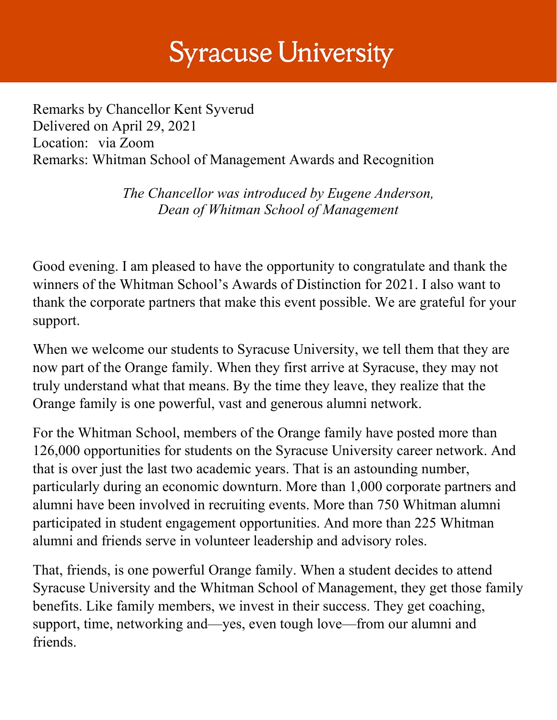## **Syracuse University**

Remarks by Chancellor Kent Syverud Delivered on April 29, 2021 Location: via Zoom Remarks: Whitman School of Management Awards and Recognition

> *The Chancellor was introduced by Eugene Anderson, Dean of Whitman School of Management*

Good evening. I am pleased to have the opportunity to congratulate and thank the winners of the Whitman School's Awards of Distinction for 2021. I also want to thank the corporate partners that make this event possible. We are grateful for your support.

When we welcome our students to Syracuse University, we tell them that they are now part of the Orange family. When they first arrive at Syracuse, they may not truly understand what that means. By the time they leave, they realize that the Orange family is one powerful, vast and generous alumni network.

For the Whitman School, members of the Orange family have posted more than 126,000 opportunities for students on the Syracuse University career network. And that is over just the last two academic years. That is an astounding number, particularly during an economic downturn. More than 1,000 corporate partners and alumni have been involved in recruiting events. More than 750 Whitman alumni participated in student engagement opportunities. And more than 225 Whitman alumni and friends serve in volunteer leadership and advisory roles.

That, friends, is one powerful Orange family. When a student decides to attend Syracuse University and the Whitman School of Management, they get those family benefits. Like family members, we invest in their success. They get coaching, support, time, networking and—yes, even tough love—from our alumni and friends.